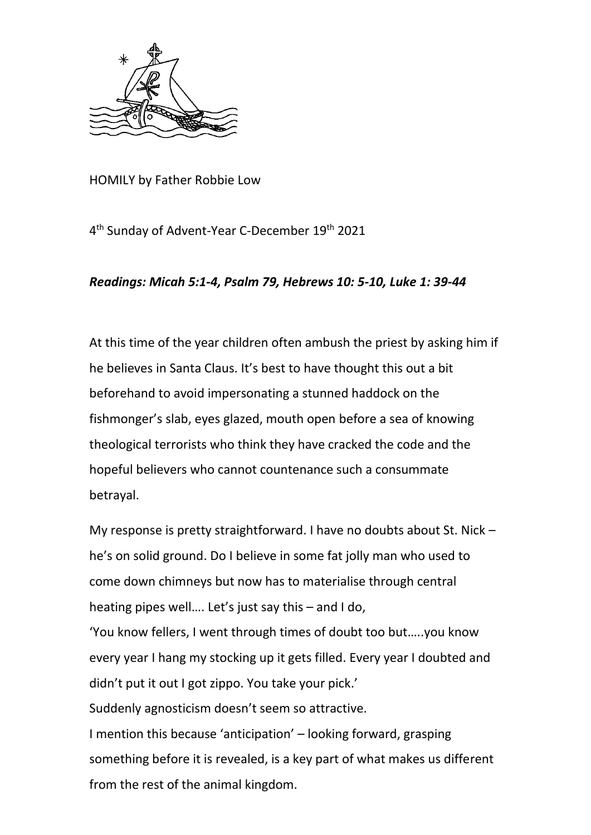

HOMILY by Father Robbie Low

4<sup>th</sup> Sunday of Advent-Year C-December 19<sup>th</sup> 2021

## *Readings: Micah 5:1-4, Psalm 79, Hebrews 10: 5-10, Luke 1: 39-44*

At this time of the year children often ambush the priest by asking him if he believes in Santa Claus. It's best to have thought this out a bit beforehand to avoid impersonating a stunned haddock on the fishmonger's slab, eyes glazed, mouth open before a sea of knowing theological terrorists who think they have cracked the code and the hopeful believers who cannot countenance such a consummate betrayal.

My response is pretty straightforward. I have no doubts about St. Nick – he's on solid ground. Do I believe in some fat jolly man who used to come down chimneys but now has to materialise through central heating pipes well…. Let's just say this – and I do, 'You know fellers, I went through times of doubt too but…..you know every year I hang my stocking up it gets filled. Every year I doubted and didn't put it out I got zippo. You take your pick.' Suddenly agnosticism doesn't seem so attractive. I mention this because 'anticipation' – looking forward, grasping something before it is revealed, is a key part of what makes us different from the rest of the animal kingdom.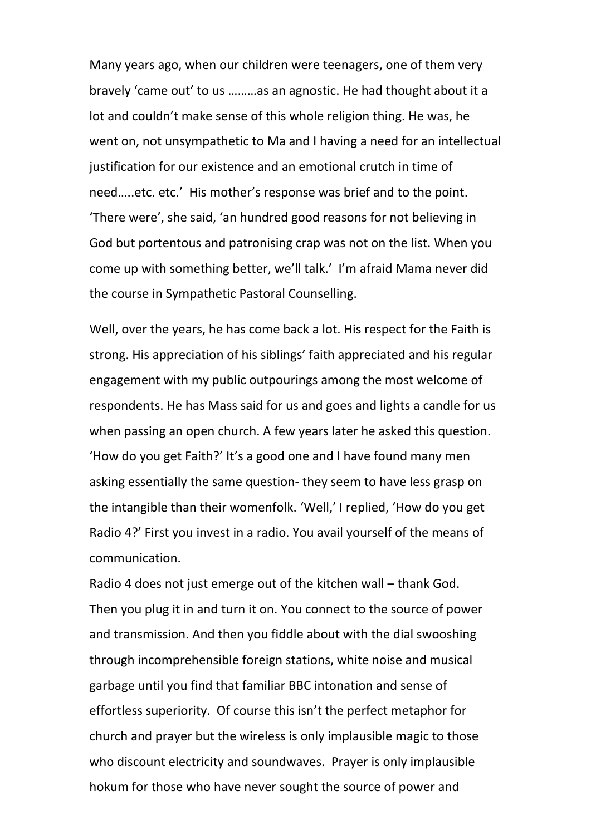Many years ago, when our children were teenagers, one of them very bravely 'came out' to us ………as an agnostic. He had thought about it a lot and couldn't make sense of this whole religion thing. He was, he went on, not unsympathetic to Ma and I having a need for an intellectual justification for our existence and an emotional crutch in time of need…..etc. etc.' His mother's response was brief and to the point. 'There were', she said, 'an hundred good reasons for not believing in God but portentous and patronising crap was not on the list. When you come up with something better, we'll talk.' I'm afraid Mama never did the course in Sympathetic Pastoral Counselling.

Well, over the years, he has come back a lot. His respect for the Faith is strong. His appreciation of his siblings' faith appreciated and his regular engagement with my public outpourings among the most welcome of respondents. He has Mass said for us and goes and lights a candle for us when passing an open church. A few years later he asked this question. 'How do you get Faith?' It's a good one and I have found many men asking essentially the same question- they seem to have less grasp on the intangible than their womenfolk. 'Well,' I replied, 'How do you get Radio 4?' First you invest in a radio. You avail yourself of the means of communication.

Radio 4 does not just emerge out of the kitchen wall – thank God. Then you plug it in and turn it on. You connect to the source of power and transmission. And then you fiddle about with the dial swooshing through incomprehensible foreign stations, white noise and musical garbage until you find that familiar BBC intonation and sense of effortless superiority. Of course this isn't the perfect metaphor for church and prayer but the wireless is only implausible magic to those who discount electricity and soundwaves. Prayer is only implausible hokum for those who have never sought the source of power and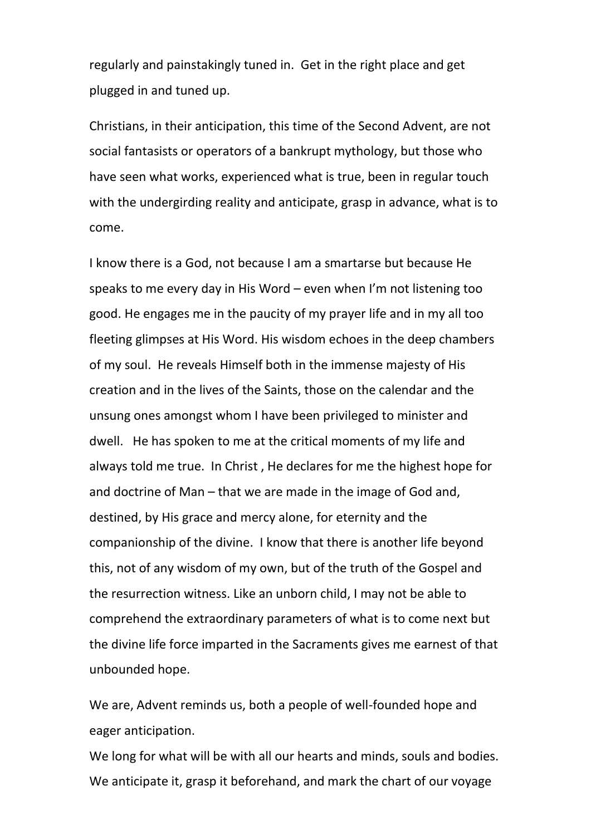regularly and painstakingly tuned in. Get in the right place and get plugged in and tuned up.

Christians, in their anticipation, this time of the Second Advent, are not social fantasists or operators of a bankrupt mythology, but those who have seen what works, experienced what is true, been in regular touch with the undergirding reality and anticipate, grasp in advance, what is to come.

I know there is a God, not because I am a smartarse but because He speaks to me every day in His Word – even when I'm not listening too good. He engages me in the paucity of my prayer life and in my all too fleeting glimpses at His Word. His wisdom echoes in the deep chambers of my soul. He reveals Himself both in the immense majesty of His creation and in the lives of the Saints, those on the calendar and the unsung ones amongst whom I have been privileged to minister and dwell. He has spoken to me at the critical moments of my life and always told me true. In Christ , He declares for me the highest hope for and doctrine of Man – that we are made in the image of God and, destined, by His grace and mercy alone, for eternity and the companionship of the divine. I know that there is another life beyond this, not of any wisdom of my own, but of the truth of the Gospel and the resurrection witness. Like an unborn child, I may not be able to comprehend the extraordinary parameters of what is to come next but the divine life force imparted in the Sacraments gives me earnest of that unbounded hope.

We are, Advent reminds us, both a people of well-founded hope and eager anticipation.

We long for what will be with all our hearts and minds, souls and bodies. We anticipate it, grasp it beforehand, and mark the chart of our voyage